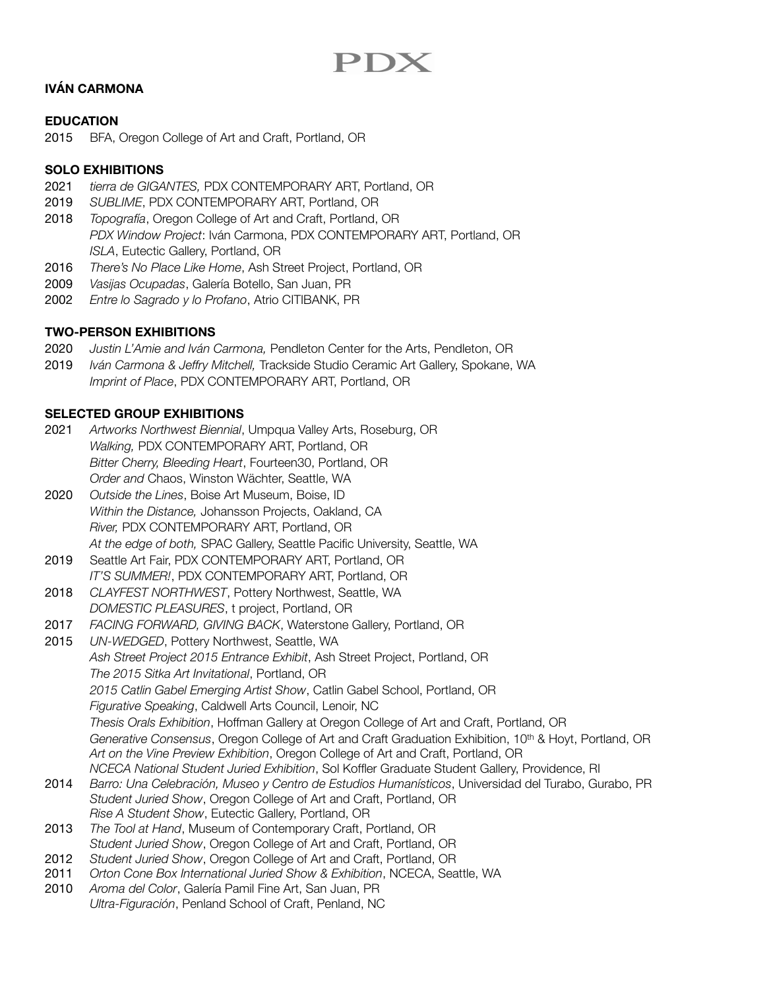# PDX

## **IVÁN CARMONA**

#### **EDUCATION**

2015 BFA, Oregon College of Art and Craft, Portland, OR

## **SOLO EXHIBITIONS**

- 2021 *tierra de GIGANTES,* PDX CONTEMPORARY ART, Portland, OR
- 2019 *SUBLIME*, PDX CONTEMPORARY ART, Portland, OR
- 2018 *Topografía*, Oregon College of Art and Craft, Portland, OR *PDX Window Project*: Iván Carmona, PDX CONTEMPORARY ART, Portland, OR *ISLA*, Eutectic Gallery, Portland, OR
- 2016 *There's No Place Like Home*, Ash Street Project, Portland, OR
- 2009 *Vasijas Ocupadas*, Galería Botello, San Juan, PR
- 2002 *Entre lo Sagrado y lo Profano*, Atrio CITIBANK, PR

## **TWO-PERSON EXHIBITIONS**

- 2020 *Justin L'Amie and Iván Carmona,* Pendleton Center for the Arts, Pendleton, OR
- 2019 *Iván Carmona & Jeffry Mitchell,* Trackside Studio Ceramic Art Gallery, Spokane, WA *Imprint of Place*, PDX CONTEMPORARY ART, Portland, OR

## **SELECTED GROUP EXHIBITIONS**

- 2021 *Artworks Northwest Biennial*, Umpqua Valley Arts, Roseburg, OR *Walking,* PDX CONTEMPORARY ART, Portland, OR *Bitter Cherry, Bleeding Heart*, Fourteen30, Portland, OR *Order and* Chaos, Winston Wächter, Seattle, WA
- 2020 *Outside the Lines*, Boise Art Museum, Boise, ID *Within the Distance,* Johansson Projects, Oakland, CA *River,* PDX CONTEMPORARY ART, Portland, OR *At the edge of both,* SPAC Gallery, Seattle Pacific University, Seattle, WA
- 2019 Seattle Art Fair, PDX CONTEMPORARY ART, Portland, OR *IT'S SUMMER!*, PDX CONTEMPORARY ART, Portland, OR
- 2018 *CLAYFEST NORTHWEST*, Pottery Northwest, Seattle, WA *DOMESTIC PLEASURES*, t project, Portland, OR
- 2017 *FACING FORWARD, GIVING BACK*, Waterstone Gallery, Portland, OR
- 2015 *UN-WEDGED*, Pottery Northwest, Seattle, WA *Ash Street Project 2015 Entrance Exhibit*, Ash Street Project, Portland, OR *The 2015 Sitka Art Invitational*, Portland, OR *2015 Catlin Gabel Emerging Artist Show*, Catlin Gabel School, Portland, OR *Figurative Speaking*, Caldwell Arts Council, Lenoir, NC *Thesis Orals Exhibition*, Hoffman Gallery at Oregon College of Art and Craft, Portland, OR *Generative Consensus*, Oregon College of Art and Craft Graduation Exhibition, 10th & Hoyt, Portland, OR *Art on the Vine Preview Exhibition*, Oregon College of Art and Craft, Portland, OR
- *NCECA National Student Juried Exhibition*, Sol Koffler Graduate Student Gallery, Providence, RI 2014 *Barro: Una Celebración, Museo y Centro de Estudios Humanísticos*, Universidad del Turabo, Gurabo, PR
- *Student Juried Show*, Oregon College of Art and Craft, Portland, OR *Rise A Student Show*, Eutectic Gallery, Portland, OR
- 2013 *The Tool at Hand*, Museum of Contemporary Craft, Portland, OR *Student Juried Show*, Oregon College of Art and Craft, Portland, OR
- 2012 *Student Juried Show*, Oregon College of Art and Craft, Portland, OR
- 2011 *Orton Cone Box International Juried Show & Exhibition*, NCECA, Seattle, WA
- 2010 *Aroma del Color*, Galería Pamil Fine Art, San Juan, PR *Ultra-Figuración*, Penland School of Craft, Penland, NC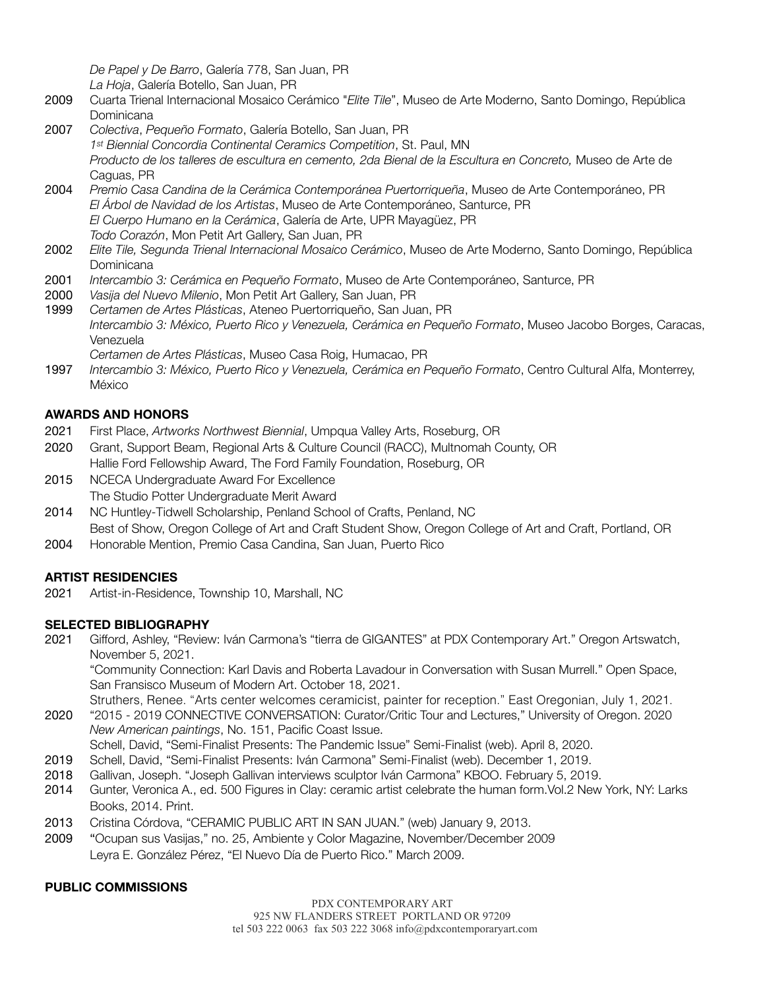*De Papel y De Barro*, Galería 778, San Juan, PR

*La Hoja*, Galería Botello, San Juan, PR

- 2009 Cuarta Trienal Internacional Mosaico Cerámico "*Elite Tile*", Museo de Arte Moderno, Santo Domingo, República Dominicana
- 2007 *Colectiva*, *Pequeño Formato*, Galería Botello, San Juan, PR *1st Biennial Concordia Continental Ceramics Competition*, St. Paul, MN *Producto de los talleres de escultura en cemento, 2da Bienal de la Escultura en Concreto,* Museo de Arte de Caguas, PR
- 2004 *Premio Casa Candina de la Cerámica Contemporánea Puertorriqueña*, Museo de Arte Contemporáneo, PR *El Árbol de Navidad de los Artistas*, Museo de Arte Contemporáneo, Santurce, PR *El Cuerpo Humano en la Cerámica*, Galería de Arte, UPR Mayagüez, PR *Todo Corazón*, Mon Petit Art Gallery, San Juan, PR
- 2002 *Elite Tile, Segunda Trienal Internacional Mosaico Cerámico*, Museo de Arte Moderno, Santo Domingo, República **Dominicana**
- 2001 *Intercambio 3: Cerámica en Pequeño Formato*, Museo de Arte Contemporáneo, Santurce, PR
- 2000 *Vasija del Nuevo Milenio*, Mon Petit Art Gallery, San Juan, PR
- 1999 *Certamen de Artes Plásticas*, Ateneo Puertorriqueño, San Juan, PR *Intercambio 3: México, Puerto Rico y Venezuela, Cerámica en Pequeño Formato*, Museo Jacobo Borges, Caracas, Venezuela
- *Certamen de Artes Plásticas*, Museo Casa Roig, Humacao, PR
- 1997 *Intercambio 3: México, Puerto Rico y Venezuela, Cerámica en Pequeño Formato*, Centro Cultural Alfa, Monterrey, México

## **AWARDS AND HONORS**

- 2021 First Place, *Artworks Northwest Biennial*, Umpqua Valley Arts, Roseburg, OR
- 2020 Grant, Support Beam, Regional Arts & Culture Council (RACC), Multnomah County, OR Hallie Ford Fellowship Award, The Ford Family Foundation, Roseburg, OR
- 2015 NCECA Undergraduate Award For Excellence The Studio Potter Undergraduate Merit Award
- 2014 NC Huntley-Tidwell Scholarship, Penland School of Crafts, Penland, NC Best of Show, Oregon College of Art and Craft Student Show, Oregon College of Art and Craft, Portland, OR
- 2004 Honorable Mention, Premio Casa Candina, San Juan, Puerto Rico

## **ARTIST RESIDENCIES**

2021 Artist-in-Residence, Township 10, Marshall, NC

## **SELECTED BIBLIOGRAPHY**

2021 Gifford, Ashley, "Review: Iván Carmona's "tierra de GIGANTES" at PDX Contemporary Art." Oregon Artswatch, November 5, 2021.

"Community Connection: Karl Davis and Roberta Lavadour in Conversation with Susan Murrell." Open Space, San Fransisco Museum of Modern Art. October 18, 2021.

Struthers, Renee. "Arts center welcomes ceramicist, painter for reception." East Oregonian, July 1, 2021. 2020 "2015 - 2019 CONNECTIVE CONVERSATION: Curator/Critic Tour and Lectures," University of Oregon. 2020 *New American paintings*, No. 151, Pacific Coast Issue.

Schell, David, "Semi-Finalist Presents: The Pandemic Issue" Semi-Finalist (web). April 8, 2020.

- 2019 Schell, David, "Semi-Finalist Presents: Iván Carmona" Semi-Finalist (web). December 1, 2019.
- 2018 Gallivan, Joseph. "Joseph Gallivan interviews sculptor Iván Carmona" KBOO. February 5, 2019.
- 2014 Gunter, Veronica A., ed. 500 Figures in Clay: ceramic artist celebrate the human form.Vol.2 New York, NY: Larks Books, 2014. Print.
- 2013 Cristina Córdova, "CERAMIC PUBLIC ART IN SAN JUAN." (web) January 9, 2013.
- 2009 "Ocupan sus Vasijas," no. 25, Ambiente y Color Magazine, November/December 2009 Leyra E. González Pérez, "El Nuevo Día de Puerto Rico." March 2009.

#### **PUBLIC COMMISSIONS**